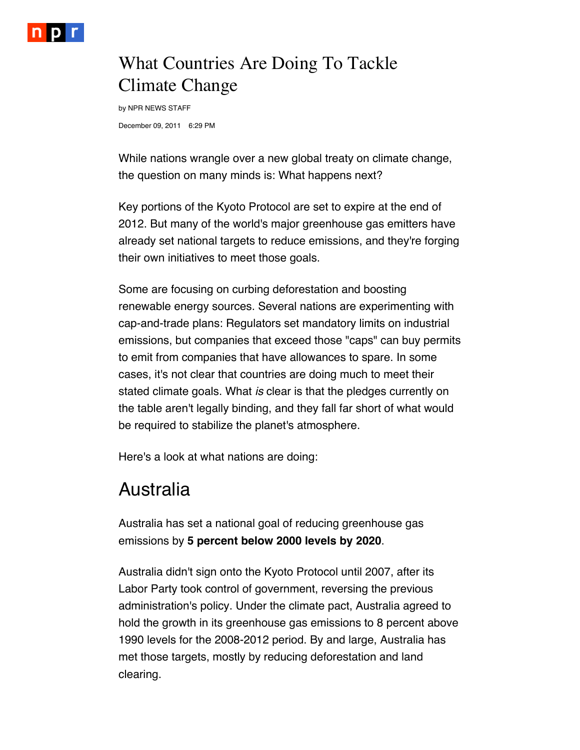

## What Countries Are Doing To Tackle Climate Change

December 09, 2011 6:29 PM by NPR NEWS STAFF

While nations wrangle over a new global treaty on climate change, the question on many minds is: What happens next?

Key portions of the Kyoto Protocol are set to expire at the end of 2012. But many of the world's major greenhouse gas emitters have already set national targets to reduce emissions, and they're forging their own initiatives to meet those goals.

Some are focusing on curbing deforestation and boosting renewable energy sources. Several nations are experimenting with cap-and-trade plans: Regulators set mandatory limits on industrial emissions, but companies that exceed those "caps" can buy permits to emit from companies that have allowances to spare. In some cases, it's not clear that countries are doing much to meet their stated climate goals. What *is* clear is that the pledges currently on the table aren't legally binding, and they fall far short of what would be required to stabilize the planet's atmosphere.

Here's a look at what nations are doing:

### Australia

Australia has set a national goal of reducing greenhouse gas emissions by **5 percent below 2000 levels by 2020**.

Australia didn't sign onto the Kyoto Protocol until 2007, after its Labor Party took control of government, reversing the previous administration's policy. Under the climate pact, Australia agreed to hold the growth in its greenhouse gas emissions to 8 percent above 1990 levels for the 2008-2012 period. By and large, Australia has met those targets, mostly by reducing deforestation and land clearing.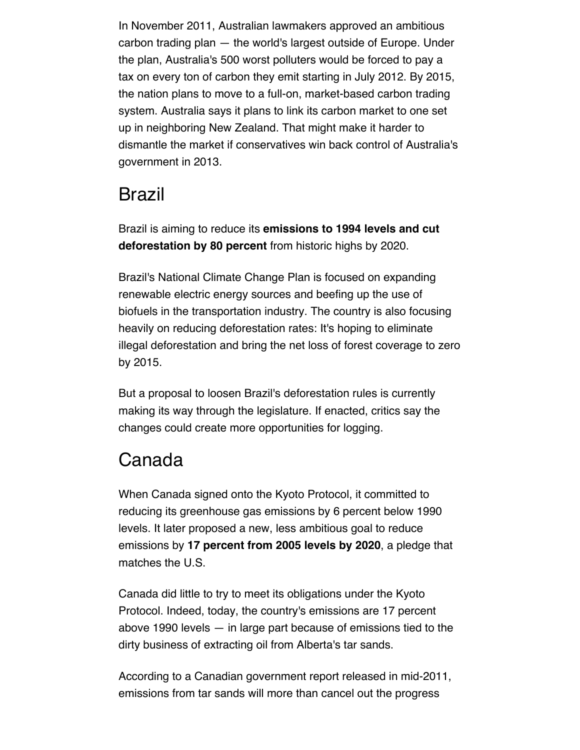In November 2011, Australian lawmakers approved an ambitious carbon trading plan — the world's largest outside of Europe. Under the plan, Australia's 500 worst polluters would be forced to pay a tax on every ton of carbon they emit starting in July 2012. By 2015, the nation plans to move to a full-on, market-based carbon trading system. Australia says it plans to link its carbon market to one set up in neighboring New Zealand. That might make it harder to dismantle the market if conservatives win back control of Australia's government in 2013.

### Brazil

Brazil is aiming to reduce its **emissions to 1994 levels and cut deforestation by 80 percent** from historic highs by 2020.

Brazil's National Climate Change Plan is focused on expanding renewable electric energy sources and beefing up the use of biofuels in the transportation industry. The country is also focusing heavily on reducing deforestation rates: It's hoping to eliminate illegal deforestation and bring the net loss of forest coverage to zero by 2015.

But a proposal to loosen Brazil's deforestation rules is currently making its way through the legislature. If enacted, critics say the changes could create more opportunities for logging.

## Canada

When Canada signed onto the Kyoto Protocol, it committed to reducing its greenhouse gas emissions by 6 percent below 1990 levels. It later proposed a new, less ambitious goal to reduce emissions by **17 percent from 2005 levels by 2020**, a pledge that matches the U.S.

Canada did little to try to meet its obligations under the Kyoto Protocol. Indeed, today, the country's emissions are 17 percent above 1990 levels — in large part because of emissions tied to the dirty business of extracting oil from Alberta's tar sands.

According to a Canadian government report released in mid-2011, emissions from tar sands will more than cancel out the progress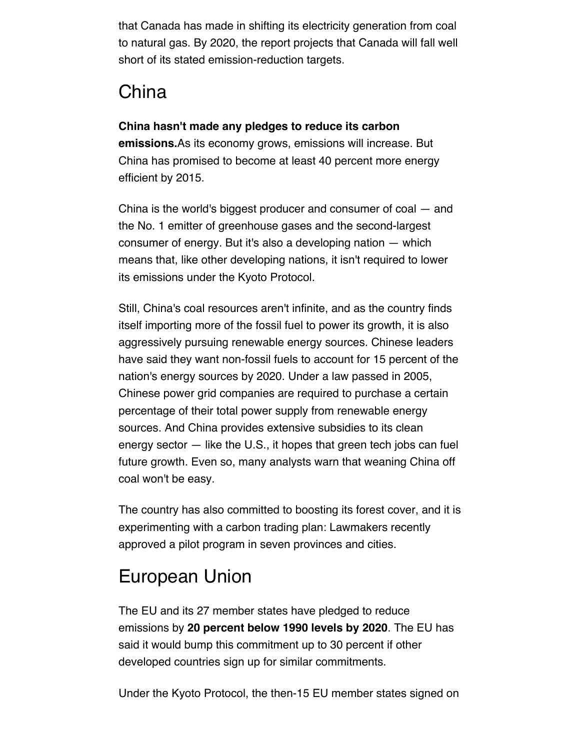that Canada has made in shifting its electricity generation from coal to natural gas. By 2020, the report projects that Canada will fall well short of its stated emission-reduction targets.

# China

#### **China hasn't made any pledges to reduce its carbon**

**emissions.**As its economy grows, emissions will increase. But China has promised to become at least 40 percent more energy efficient by 2015.

China is the world's biggest producer and consumer of coal — and the No. 1 emitter of greenhouse gases and the second-largest consumer of energy. But it's also a developing nation — which means that, like other developing nations, it isn't required to lower its emissions under the Kyoto Protocol.

Still, China's coal resources aren't infinite, and as the country finds itself importing more of the fossil fuel to power its growth, it is also aggressively pursuing renewable energy sources. Chinese leaders have said they want non-fossil fuels to account for 15 percent of the nation's energy sources by 2020. Under a law passed in 2005, Chinese power grid companies are required to purchase a certain percentage of their total power supply from renewable energy sources. And China provides extensive subsidies to its clean energy sector — like the U.S., it hopes that green tech jobs can fuel future growth. Even so, many analysts warn that weaning China off coal won't be easy.

The country has also committed to boosting its forest cover, and it is experimenting with a carbon trading plan: Lawmakers recently approved a pilot program in seven provinces and cities.

# European Union

The EU and its 27 member states have pledged to reduce emissions by **20 percent below 1990 levels by 2020**. The EU has said it would bump this commitment up to 30 percent if other developed countries sign up for similar commitments.

Under the Kyoto Protocol, the then-15 EU member states signed on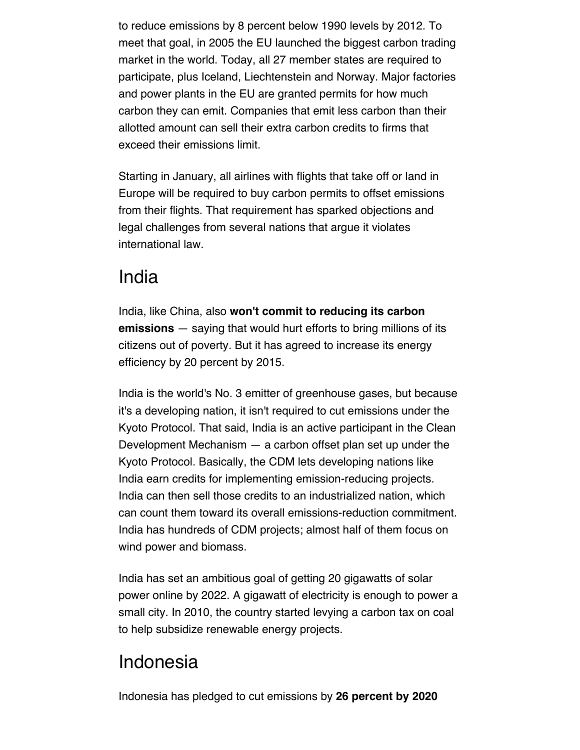to reduce emissions by 8 percent below 1990 levels by 2012. To meet that goal, in 2005 the EU launched the biggest carbon trading market in the world. Today, all 27 member states are required to participate, plus Iceland, Liechtenstein and Norway. Major factories and power plants in the EU are granted permits for how much carbon they can emit. Companies that emit less carbon than their allotted amount can sell their extra carbon credits to firms that exceed their emissions limit.

Starting in January, all airlines with flights that take off or land in Europe will be required to buy carbon permits to offset emissions from their flights. That requirement has sparked objections and legal challenges from several nations that argue it violates international law.

#### India

India, like China, also **won't commit to reducing its carbon emissions** — saying that would hurt efforts to bring millions of its citizens out of poverty. But it has agreed to increase its energy efficiency by 20 percent by 2015.

India is the world's No. 3 emitter of greenhouse gases, but because it's a developing nation, it isn't required to cut emissions under the Kyoto Protocol. That said, India is an active participant in the Clean Development Mechanism — a carbon offset plan set up under the Kyoto Protocol. Basically, the CDM lets developing nations like India earn credits for implementing emission-reducing projects. India can then sell those credits to an industrialized nation, which can count them toward its overall emissions-reduction commitment. India has hundreds of CDM projects; almost half of them focus on wind power and biomass.

India has set an ambitious goal of getting 20 gigawatts of solar power online by 2022. A gigawatt of electricity is enough to power a small city. In 2010, the country started levying a carbon tax on coal to help subsidize renewable energy projects.

## Indonesia

Indonesia has pledged to cut emissions by **26 percent by 2020**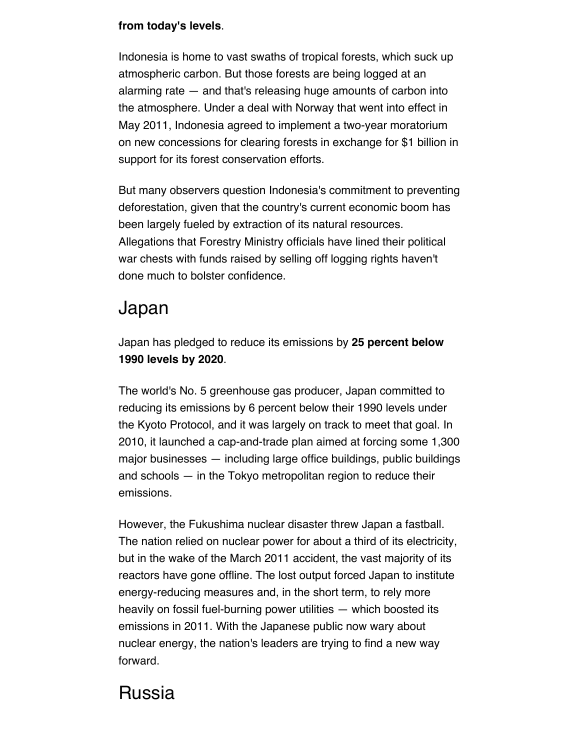#### **from today's levels**.

Indonesia is home to vast swaths of tropical forests, which suck up atmospheric carbon. But those forests are being logged at an alarming rate — and that's releasing huge amounts of carbon into the atmosphere. Under a deal with Norway that went into effect in May 2011, Indonesia agreed to implement a two-year moratorium on new concessions for clearing forests in exchange for \$1 billion in support for its forest conservation efforts.

But many observers question Indonesia's commitment to preventing deforestation, given that the country's current economic boom has been largely fueled by extraction of its natural resources. Allegations that Forestry Ministry officials have lined their political war chests with funds raised by selling off logging rights haven't done much to bolster confidence.

## Japan

Japan has pledged to reduce its emissions by **25 percent below 1990 levels by 2020**.

The world's No. 5 greenhouse gas producer, Japan committed to reducing its emissions by 6 percent below their 1990 levels under the Kyoto Protocol, and it was largely on track to meet that goal. In 2010, it launched a cap-and-trade plan aimed at forcing some 1,300 major businesses — including large office buildings, public buildings and schools — in the Tokyo metropolitan region to reduce their emissions.

However, the Fukushima nuclear disaster threw Japan a fastball. The nation relied on nuclear power for about a third of its electricity, but in the wake of the March 2011 accident, the vast majority of its reactors have gone offline. The lost output forced Japan to institute energy-reducing measures and, in the short term, to rely more heavily on fossil fuel-burning power utilities — which boosted its emissions in 2011. With the Japanese public now wary about nuclear energy, the nation's leaders are trying to find a new way forward.

# Russia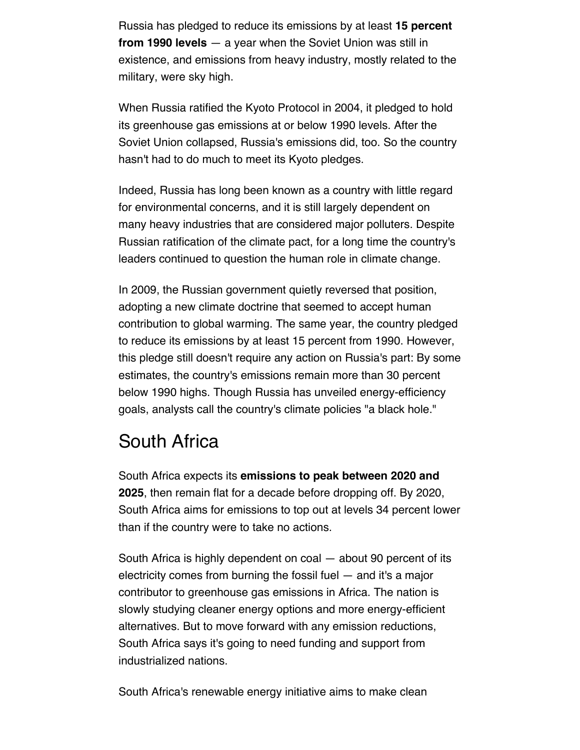Russia has pledged to reduce its emissions by at least **15 percent from 1990 levels** — a year when the Soviet Union was still in existence, and emissions from heavy industry, mostly related to the military, were sky high.

When Russia ratified the Kyoto Protocol in 2004, it pledged to hold its greenhouse gas emissions at or below 1990 levels. After the Soviet Union collapsed, Russia's emissions did, too. So the country hasn't had to do much to meet its Kyoto pledges.

Indeed, Russia has long been known as a country with little regard for environmental concerns, and it is still largely dependent on many heavy industries that are considered major polluters. Despite Russian ratification of the climate pact, for a long time the country's leaders continued to question the human role in climate change.

In 2009, the Russian government quietly reversed that position, adopting a new climate doctrine that seemed to accept human contribution to global warming. The same year, the country pledged to reduce its emissions by at least 15 percent from 1990. However, this pledge still doesn't require any action on Russia's part: By some estimates, the country's emissions remain more than 30 percent below 1990 highs. Though Russia has unveiled energy-efficiency goals, analysts call the country's climate policies "a black hole."

## South Africa

South Africa expects its **emissions to peak between 2020 and 2025**, then remain flat for a decade before dropping off. By 2020, South Africa aims for emissions to top out at levels 34 percent lower than if the country were to take no actions.

South Africa is highly dependent on coal — about 90 percent of its electricity comes from burning the fossil fuel — and it's a major contributor to greenhouse gas emissions in Africa. The nation is slowly studying cleaner energy options and more energy-efficient alternatives. But to move forward with any emission reductions, South Africa says it's going to need funding and support from industrialized nations.

South Africa's renewable energy initiative aims to make clean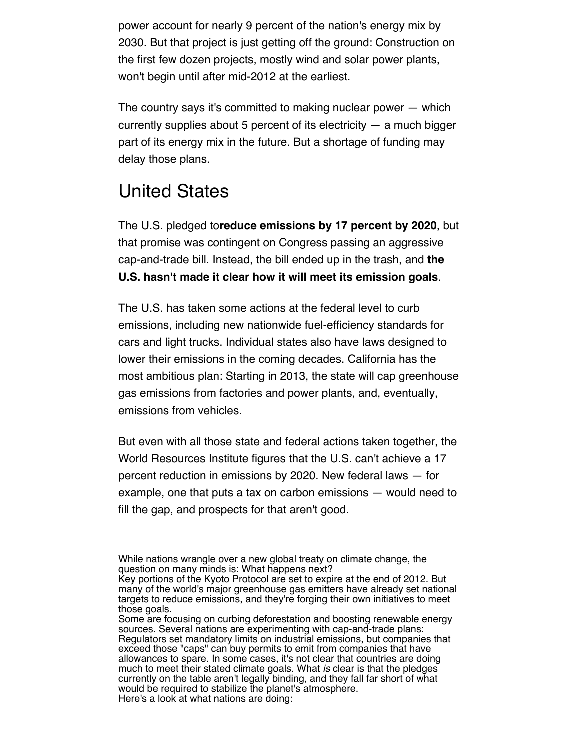power account for nearly 9 percent of the nation's energy mix by 2030. But that project is just getting off the ground: Construction on the first few dozen projects, mostly wind and solar power plants, won't begin until after mid-2012 at the earliest.

The country says it's committed to making nuclear power — which currently supplies about 5 percent of its electricity  $-$  a much bigger part of its energy mix in the future. But a shortage of funding may delay those plans.

## United States

The U.S. pledged to**reduce emissions by 17 percent by 2020**, but that promise was contingent on Congress passing an aggressive cap-and-trade bill. Instead, the bill ended up in the trash, and **the U.S. hasn't made it clear how it will meet its emission goals**.

The U.S. has taken some actions at the federal level to curb emissions, including new nationwide fuel-efficiency standards for cars and light trucks. Individual states also have laws designed to lower their emissions in the coming decades. California has the most ambitious plan: Starting in 2013, the state will cap greenhouse gas emissions from factories and power plants, and, eventually, emissions from vehicles.

But even with all those state and federal actions taken together, the World Resources Institute figures that the U.S. can't achieve a 17 percent reduction in emissions by 2020. New federal laws — for example, one that puts a tax on carbon emissions — would need to fill the gap, and prospects for that aren't good.

While nations wrangle over a new global treaty on climate change, the question on many minds is: What happens next?

Key portions of the Kyoto Protocol are set to expire at the end of 2012. But many of the world's major greenhouse gas emitters have already set national targets to reduce emissions, and they're forging their own initiatives to meet those goals.

Some are focusing on curbing deforestation and boosting renewable energy sources. Several nations are experimenting with cap-and-trade plans: Regulators set mandatory limits on industrial emissions, but companies that exceed those "caps" can buy permits to emit from companies that have allowances to spare. In some cases, it's not clear that countries are doing much to meet their stated climate goals. What *is* clear is that the pledges currently on the table aren't legally binding, and they fall far short of what would be required to stabilize the planet's atmosphere. Here's a look at what nations are doing: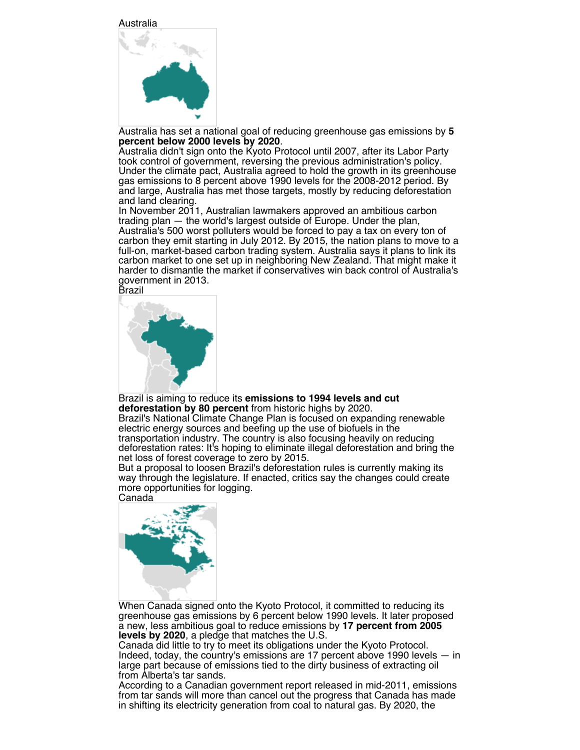Australia



Australia has set a national goal of reducing greenhouse gas emissions by **5**

Australia didn't sign onto the Kyoto Protocol until 2007, after its Labor Party took control of government, reversing the previous administration's policy. Under the climate pact, Australia agreed to hold the growth in its greenhouse gas emissions to 8 percent above 1990 levels for the 2008-2012 period. By and large, Australia has met those targets, mostly by reducing deforestation and land clearing.

In November 2011, Australian lawmakers approved an ambitious carbon trading plan — the world's largest outside of Europe. Under the plan, Australia's 500 worst polluters would be forced to pay a tax on every ton of carbon they emit starting in July 2012. By 2015, the nation plans to move to a full-on, market-based carbon trading system. Australia says it plans to link its carbon market to one set up in neighboring New Zealand. That might make it harder to dismantle the market if conservatives win back control of Australia's government in 2013.

Brazil



Brazil is aiming to reduce its **emissions to 1994 levels and cut deforestation by 80 percent** from historic highs by 2020. Brazil's National Climate Change Plan is focused on expanding renewable electric energy sources and beefing up the use of biofuels in the transportation industry. The country is also focusing heavily on reducing deforestation rates: It's hoping to eliminate illegal deforestation and bring the net loss of forest coverage to zero by 2015.

But a proposal to loosen Brazil's deforestation rules is currently making its way through the legislature. If enacted, critics say the changes could create more opportunities for logging. Canada



When Canada signed onto the Kyoto Protocol, it committed to reducing its greenhouse gas emissions by 6 percent below 1990 levels. It later proposed a new, less ambitious goal to reduce emissions by **17 percent from 2005 levels by 2020**, a pledge that matches the U.S.

Canada did little to try to meet its obligations under the Kyoto Protocol. Indeed, today, the country's emissions are 17 percent above 1990 levels — in large part because of emissions tied to the dirty business of extracting oil from Alberta's tar sands.

According to a Canadian government report released in mid-2011, emissions from tar sands will more than cancel out the progress that Canada has made in shifting its electricity generation from coal to natural gas. By 2020, the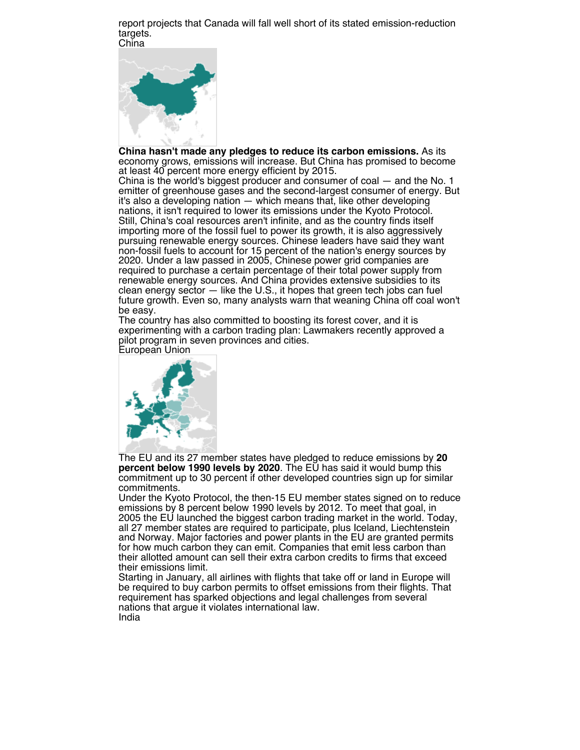report projects that Canada will fall well short of its stated emission-reduction targets. China



**China hasn't made any pledges to reduce its carbon emissions.** As its economy grows, emissions will increase. But China has promised to become at least 40 percent more energy efficient by 2015.

China is the world's biggest producer and consumer of coal — and the No. 1 emitter of greenhouse gases and the second-largest consumer of energy. But it's also a developing nation — which means that, like other developing nations, it isn't required to lower its emissions under the Kyoto Protocol. Still, China's coal resources aren't infinite, and as the country finds itself importing more of the fossil fuel to power its growth, it is also aggressively pursuing renewable energy sources. Chinese leaders have said they want non-fossil fuels to account for 15 percent of the nation's energy sources by 2020. Under a law passed in 2005, Chinese power grid companies are required to purchase a certain percentage of their total power supply from renewable energy sources. And China provides extensive subsidies to its clean energy sector — like the U.S., it hopes that green tech jobs can fuel future growth. Even so, many analysts warn that weaning China off coal won't be easy.

The country has also committed to boosting its forest cover, and it is experimenting with a carbon trading plan: Lawmakers recently approved a pilot program in seven provinces and cities.

European Union



The EU and its 27 member states have pledged to reduce emissions by **20 percent below 1990 levels by 2020**. The EU has said it would bump this commitment up to 30 percent if other developed countries sign up for similar commitments.

Under the Kyoto Protocol, the then-15 EU member states signed on to reduce emissions by 8 percent below 1990 levels by 2012. To meet that goal, in 2005 the EU launched the biggest carbon trading market in the world. Today, all 27 member states are required to participate, plus Iceland, Liechtenstein and Norway. Major factories and power plants in the EU are granted permits for how much carbon they can emit. Companies that emit less carbon than their allotted amount can sell their extra carbon credits to firms that exceed their emissions limit.

Starting in January, all airlines with flights that take off or land in Europe will be required to buy carbon permits to offset emissions from their flights. That requirement has sparked objections and legal challenges from several nations that argue it violates international law. India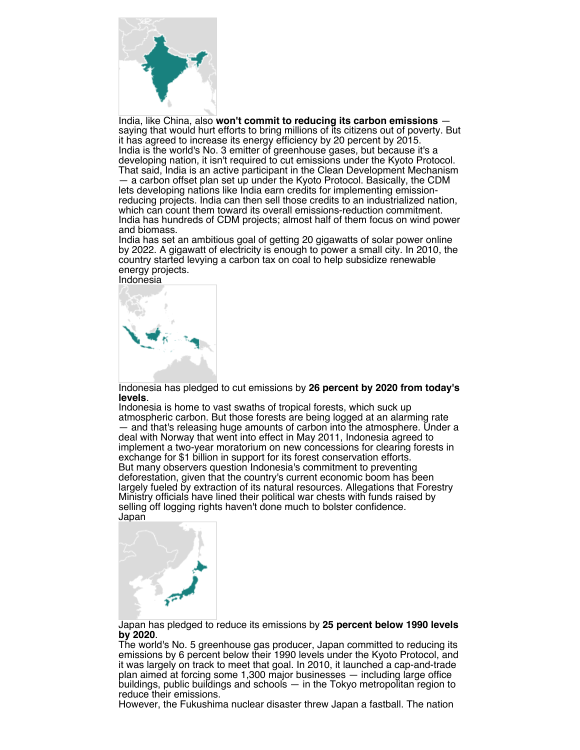

India, like China, also **won't commit to reducing its carbon emissions** saying that would hurt efforts to bring millions of its citizens out of poverty. But it has agreed to increase its energy efficiency by 20 percent by 2015. India is the world's No. 3 emitter of greenhouse gases, but because it's a developing nation, it isn't required to cut emissions under the Kyoto Protocol. That said, India is an active participant in the Clean Development Mechanism — a carbon offset plan set up under the Kyoto Protocol. Basically, the CDM lets developing nations like India earn credits for implementing emissionreducing projects. India can then sell those credits to an industrialized nation, which can count them toward its overall emissions-reduction commitment. India has hundreds of CDM projects; almost half of them focus on wind power and biomass.

India has set an ambitious goal of getting 20 gigawatts of solar power online by 2022. A gigawatt of electricity is enough to power a small city. In 2010, the country started levying a carbon tax on coal to help subsidize renewable energy projects.

Indonesia



Indonesia has pledged to cut emissions by **26 percent by 2020 from today's levels**.

Indonesia is home to vast swaths of tropical forests, which suck up atmospheric carbon. But those forests are being logged at an alarming rate — and that's releasing huge amounts of carbon into the atmosphere. Under a deal with Norway that went into effect in May 2011, Indonesia agreed to implement a two-year moratorium on new concessions for clearing forests in exchange for \$1 billion in support for its forest conservation efforts. But many observers question Indonesia's commitment to preventing deforestation, given that the country's current economic boom has been largely fueled by extraction of its natural resources. Allegations that Forestry Ministry officials have lined their political war chests with funds raised by selling off logging rights haven't done much to bolster confidence. Japan



Japan has pledged to reduce its emissions by **25 percent below 1990 levels by 2020**.

The world's No. 5 greenhouse gas producer, Japan committed to reducing its emissions by 6 percent below their 1990 levels under the Kyoto Protocol, and it was largely on track to meet that goal. In 2010, it launched a cap-and-trade plan aimed at forcing some 1,300 major businesses — including large office buildings, public buildings and schools — in the Tokyo metropolitan region to reduce their emissions.

However, the Fukushima nuclear disaster threw Japan a fastball. The nation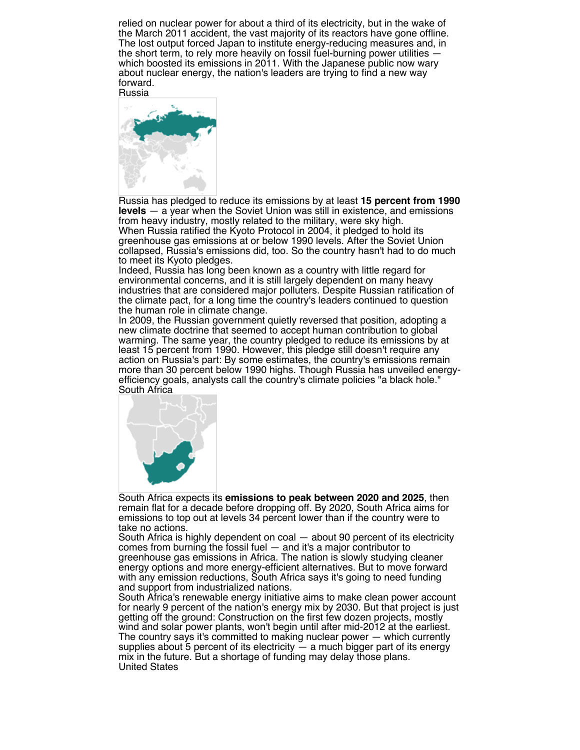relied on nuclear power for about a third of its electricity, but in the wake of the March 2011 accident, the vast majority of its reactors have gone offline. The lost output forced Japan to institute energy-reducing measures and, in the short term, to rely more heavily on fossil fuel-burning power utilities which boosted its emissions in 2011. With the Japanese public now wary about nuclear energy, the nation's leaders are trying to find a new way forward.



Russia has pledged to reduce its emissions by at least **15 percent from 1990 levels** — a year when the Soviet Union was still in existence, and emissions from heavy industry, mostly related to the military, were sky high. When Russia ratified the Kyoto Protocol in 2004, it pledged to hold its greenhouse gas emissions at or below 1990 levels. After the Soviet Union collapsed, Russia's emissions did, too. So the country hasn't had to do much to meet its Kyoto pledges.

Indeed, Russia has long been known as a country with little regard for environmental concerns, and it is still largely dependent on many heavy industries that are considered major polluters. Despite Russian ratification of the climate pact, for a long time the country's leaders continued to question the human role in climate change.

In 2009, the Russian government quietly reversed that position, adopting a new climate doctrine that seemed to accept human contribution to global warming. The same year, the country pledged to reduce its emissions by at least 15 percent from 1990. However, this pledge still doesn't require any action on Russia's part: By some estimates, the country's emissions remain more than 30 percent below 1990 highs. Though Russia has unveiled energyefficiency goals, analysts call the country's climate policies "a black hole." South Africa



South Africa expects its **emissions to peak between 2020 and 2025**, then remain flat for a decade before dropping off. By 2020, South Africa aims for emissions to top out at levels 34 percent lower than if the country were to take no actions.

South Africa is highly dependent on coal — about 90 percent of its electricity comes from burning the fossil fuel — and it's a major contributor to greenhouse gas emissions in Africa. The nation is slowly studying cleaner energy options and more energy-efficient alternatives. But to move forward with any emission reductions, South Africa says it's going to need funding and support from industrialized nations.

South Africa's renewable energy initiative aims to make clean power account for nearly 9 percent of the nation's energy mix by 2030. But that project is just getting off the ground: Construction on the first few dozen projects, mostly wind and solar power plants, won't begin until after mid-2012 at the earliest. The country says it's committed to making nuclear power — which currently supplies about 5 percent of its electricity  $-$  a much bigger part of its energy mix in the future. But a shortage of funding may delay those plans. United States